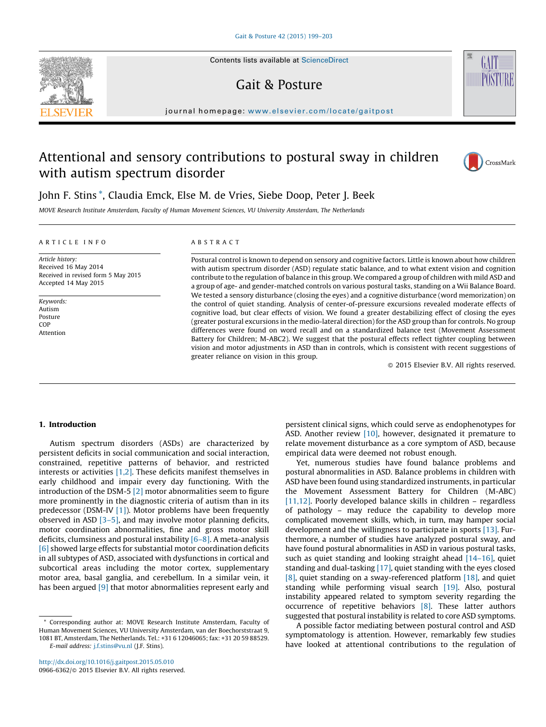Contents lists available at [ScienceDirect](http://www.sciencedirect.com/science/journal/09666362)

## Gait & Posture

journal homepage: www.elsevier.com/locate/gaitpost

# Attentional and sensory contributions to postural sway in children with autism spectrum disorder



GAIT

## John F. Stins \*, Claudia Emck, Else M. de Vries, Siebe Doop, Peter J. Beek

MOVE Research Institute Amsterdam, Faculty of Human Movement Sciences, VU University Amsterdam, The Netherlands

#### A R T I C L E I N F O

Article history: Received 16 May 2014 Received in revised form 5 May 2015 Accepted 14 May 2015

Keywords: Autism Posture COP Attention

## A B S T R A C T

Postural control is known to depend on sensory and cognitive factors. Little is known about how children with autism spectrum disorder (ASD) regulate static balance, and to what extent vision and cognition contribute to the regulation of balance in this group. We compared a group of children with mild ASD and a group of age- and gender-matched controls on various postural tasks, standing on a Wii Balance Board. We tested a sensory disturbance (closing the eyes) and a cognitive disturbance (word memorization) on the control of quiet standing. Analysis of center-of-pressure excursions revealed moderate effects of cognitive load, but clear effects of vision. We found a greater destabilizing effect of closing the eyes (greater postural excursions in the medio-lateral direction) for the ASD group than for controls. No group differences were found on word recall and on a standardized balance test (Movement Assessment Battery for Children; M-ABC2). We suggest that the postural effects reflect tighter coupling between vision and motor adjustments in ASD than in controls, which is consistent with recent suggestions of greater reliance on vision in this group.

- 2015 Elsevier B.V. All rights reserved.

## 1. Introduction

Autism spectrum disorders (ASDs) are characterized by persistent deficits in social communication and social interaction, constrained, repetitive patterns of behavior, and restricted interests or activities [\[1,2\]](#page-3-0). These deficits manifest themselves in early childhood and impair every day functioning. With the introduction of the DSM-5 [\[2\]](#page-3-0) motor abnormalities seem to figure more prominently in the diagnostic criteria of autism than in its predecessor (DSM-IV [\[1\]\)](#page-3-0). Motor problems have been frequently observed in ASD [\[3–5\]](#page-3-0), and may involve motor planning deficits, motor coordination abnormalities, fine and gross motor skill deficits, clumsiness and postural instability  $[6-8]$ . A meta-analysis [\[6\]](#page-4-0) showed large effects for substantial motor coordination deficits in all subtypes of ASD, associated with dysfunctions in cortical and subcortical areas including the motor cortex, supplementary motor area, basal ganglia, and cerebellum. In a similar vein, it has been argued [\[9\]](#page-4-0) that motor abnormalities represent early and

<http://dx.doi.org/10.1016/j.gaitpost.2015.05.010> 0966-6362/© 2015 Elsevier B.V. All rights reserved. persistent clinical signs, which could serve as endophenotypes for ASD. Another review [\[10\]](#page-4-0), however, designated it premature to relate movement disturbance as a core symptom of ASD, because empirical data were deemed not robust enough.

Yet, numerous studies have found balance problems and postural abnormalities in ASD. Balance problems in children with ASD have been found using standardized instruments, in particular the Movement Assessment Battery for Children (M-ABC) [\[11,12\].](#page-4-0) Poorly developed balance skills in children – regardless of pathology – may reduce the capability to develop more complicated movement skills, which, in turn, may hamper social development and the willingness to participate in sports [\[13\].](#page-4-0) Furthermore, a number of studies have analyzed postural sway, and have found postural abnormalities in ASD in various postural tasks, such as quiet standing and looking straight ahead  $[14-16]$ , quiet standing and dual-tasking [\[17\],](#page-4-0) quiet standing with the eyes closed [\[8\]](#page-4-0), quiet standing on a sway-referenced platform [\[18\]](#page-4-0), and quiet standing while performing visual search [\[19\].](#page-4-0) Also, postural instability appeared related to symptom severity regarding the occurrence of repetitive behaviors [\[8\]](#page-4-0). These latter authors suggested that postural instability is related to core ASD symptoms.

A possible factor mediating between postural control and ASD symptomatology is attention. However, remarkably few studies have looked at attentional contributions to the regulation of



Corresponding author at: MOVE Research Institute Amsterdam, Faculty of Human Movement Sciences, VU University Amsterdam, van der Boechorststraat 9, 1081 BT, Amsterdam, The Netherlands. Tel.: +31 6 12046065; fax: +31 20 59 88529.

E-mail address: [j.f.stins@vu.nl](mailto:j�.�f.stins@vu.nl) (J.F. Stins).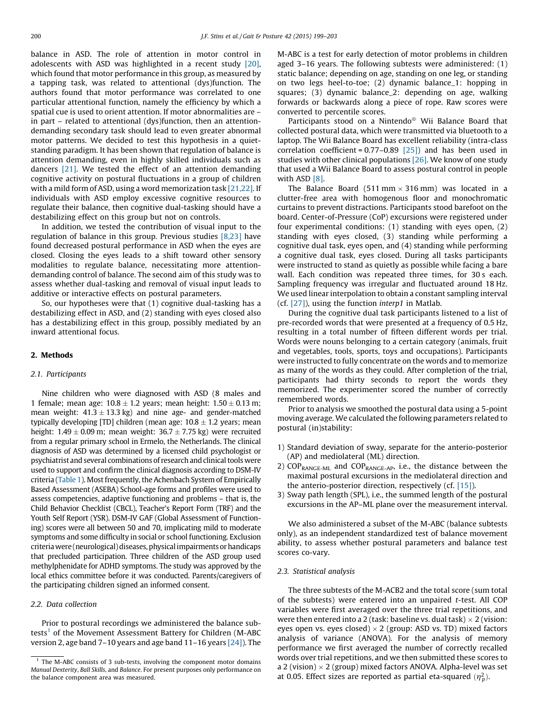balance in ASD. The role of attention in motor control in adolescents with ASD was highlighted in a recent study [\[20\],](#page-4-0) which found that motor performance in this group, as measured by a tapping task, was related to attentional (dys)function. The authors found that motor performance was correlated to one particular attentional function, namely the efficiency by which a spatial cue is used to orient attention. If motor abnormalities are – in part – related to attentional (dys)function, then an attentiondemanding secondary task should lead to even greater abnormal motor patterns. We decided to test this hypothesis in a quietstanding paradigm. It has been shown that regulation of balance is attention demanding, even in highly skilled individuals such as dancers [\[21\]](#page-4-0). We tested the effect of an attention demanding cognitive activity on postural fluctuations in a group of children with a mild form of ASD, using a word memorization task [\[21,22\].](#page-4-0) If individuals with ASD employ excessive cognitive resources to regulate their balance, then cognitive dual-tasking should have a destabilizing effect on this group but not on controls.

In addition, we tested the contribution of visual input to the regulation of balance in this group. Previous studies [\[8,23\]](#page-4-0) have found decreased postural performance in ASD when the eyes are closed. Closing the eyes leads to a shift toward other sensory modalities to regulate balance, necessitating more attentiondemanding control of balance. The second aim of this study was to assess whether dual-tasking and removal of visual input leads to additive or interactive effects on postural parameters.

So, our hypotheses were that (1) cognitive dual-tasking has a destabilizing effect in ASD, and (2) standing with eyes closed also has a destabilizing effect in this group, possibly mediated by an inward attentional focus.

## 2. Methods

## 2.1. Participants

Nine children who were diagnosed with ASD (8 males and 1 female; mean age:  $10.8 \pm 1.2$  years; mean height:  $1.50 \pm 0.13$  m; mean weight:  $41.3 \pm 13.3$  kg) and nine age- and gender-matched typically developing [TD] children (mean age: 10.8  $\pm$  1.2 years; mean height: 1.49  $\pm$  0.09 m; mean weight: 36.7  $\pm$  7.75 kg) were recruited from a regular primary school in Ermelo, the Netherlands. The clinical diagnosis of ASD was determined by a licensed child psychologist or psychiatrist and several combinations of research and clinical tools were used to support and confirm the clinical diagnosis according to DSM-IV criteria [\(Table](#page-2-0) 1). Most frequently, the Achenbach System of Empirically Based Assessment (ASEBA) School-age forms and profiles were used to assess competencies, adaptive functioning and problems – that is, the Child Behavior Checklist (CBCL), Teacher's Report Form (TRF) and the Youth Self Report (YSR). DSM-IV GAF (Global Assessment of Functioning) scores were all between 50 and 70, implicating mild to moderate symptoms and some difficulty in social or school functioning. Exclusion criteria were (neurological) diseases, physical impairments or handicaps that precluded participation. Three children of the ASD group used methylphenidate for ADHD symptoms. The study was approved by the local ethics committee before it was conducted. Parents/caregivers of the participating children signed an informed consent.

## 2.2. Data collection

Prior to postural recordings we administered the balance subtests<sup>1</sup> of the Movement Assessment Battery for Children (M-ABC version 2, age band 7–10 years and age band 11–16 years [\[24\]](#page-4-0)). The M-ABC is a test for early detection of motor problems in children aged 3–16 years. The following subtests were administered: (1) static balance; depending on age, standing on one leg, or standing on two legs heel-to-toe; (2) dynamic balance\_1: hopping in squares; (3) dynamic balance\_2: depending on age, walking forwards or backwards along a piece of rope. Raw scores were converted to percentile scores.

Participants stood on a Nintendo<sup>®</sup> Wii Balance Board that collected postural data, which were transmitted via bluetooth to a laptop. The Wii Balance Board has excellent reliability (intra-class correlation coefficient =  $0.77-0.89$  [\[25\]\)](#page-4-0) and has been used in studies with other clinical populations  $[26]$ . We know of one study that used a Wii Balance Board to assess postural control in people with ASD [\[8\]](#page-4-0).

The Balance Board (511 mm  $\times$  316 mm) was located in a clutter-free area with homogenous floor and monochromatic curtains to prevent distractions. Participants stood barefoot on the board. Center-of-Pressure (CoP) excursions were registered under four experimental conditions: (1) standing with eyes open, (2) standing with eyes closed, (3) standing while performing a cognitive dual task, eyes open, and (4) standing while performing a cognitive dual task, eyes closed. During all tasks participants were instructed to stand as quietly as possible while facing a bare wall. Each condition was repeated three times, for 30 s each. Sampling frequency was irregular and fluctuated around 18 Hz. We used linear interpolation to obtain a constant sampling interval (cf. [\[27\]\)](#page-4-0), using the function interp1 in Matlab.

During the cognitive dual task participants listened to a list of pre-recorded words that were presented at a frequency of 0.5 Hz, resulting in a total number of fifteen different words per trial. Words were nouns belonging to a certain category (animals, fruit and vegetables, tools, sports, toys and occupations). Participants were instructed to fully concentrate on the words and to memorize as many of the words as they could. After completion of the trial, participants had thirty seconds to report the words they memorized. The experimenter scored the number of correctly remembered words.

Prior to analysis we smoothed the postural data using a 5-point moving average. We calculated the following parameters related to postural (in)stability:

- 1) Standard deviation of sway, separate for the anterio-posterior (AP) and mediolateral (ML) direction.
- 2) COPRANGE-ML and COPRANGE-AP, i.e., the distance between the maximal postural excursions in the mediolateral direction and the anterio-posterior direction, respectively (cf. [\[15\]\)](#page-4-0).
- 3) Sway path length (SPL), i.e., the summed length of the postural excursions in the AP–ML plane over the measurement interval.

We also administered a subset of the M-ABC (balance subtests only), as an independent standardized test of balance movement ability, to assess whether postural parameters and balance test scores co-vary.

## 2.3. Statistical analysis

The three subtests of the M-ACB2 and the total score (sum total of the subtests) were entered into an unpaired t-test. All COP variables were first averaged over the three trial repetitions, and were then entered into a 2 (task: baseline vs. dual task)  $\times$  2 (vision: eyes open vs. eyes closed)  $\times$  2 (group: ASD vs. TD) mixed factors analysis of variance (ANOVA). For the analysis of memory performance we first averaged the number of correctly recalled words over trial repetitions, and we then submitted these scores to a 2 (vision)  $\times$  2 (group) mixed factors ANOVA. Alpha-level was set at 0.05. Effect sizes are reported as partial eta-squared  $(\eta_p^2)$ .

 $1$  The M-ABC consists of 3 sub-tests, involving the component motor domains Manual Dexterity, Ball Skills, and Balance. For present purposes only performance on the balance component area was measured.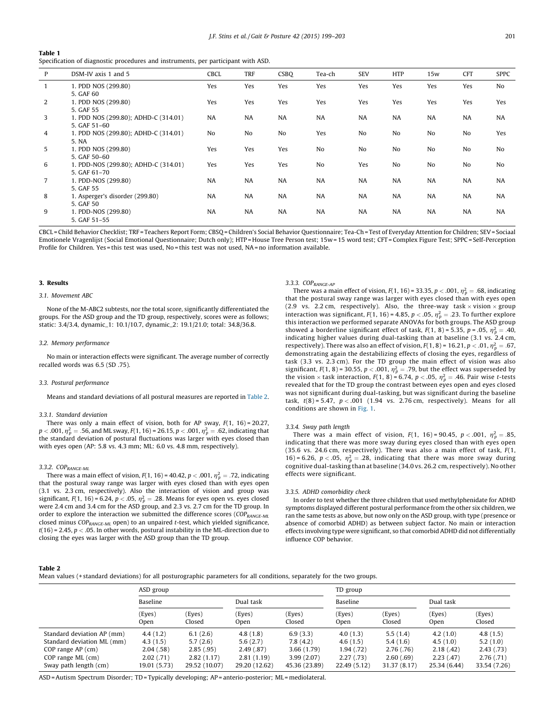#### <span id="page-2-0"></span>Table 1

Specification of diagnostic procedures and instruments, per participant with ASD.

| P            | DSM-IV axis 1 and 5                                  | CBCL           | TRF       | <b>CSBQ</b> | Tea-ch    | <b>SEV</b> | <b>HTP</b> | 15w       | <b>CFT</b> | <b>SPPC</b>    |
|--------------|------------------------------------------------------|----------------|-----------|-------------|-----------|------------|------------|-----------|------------|----------------|
| $\mathbf{1}$ | 1. PDD NOS (299.80)<br>5. GAF 60                     | Yes            | Yes       | Yes         | Yes       | Yes        | Yes        | Yes       | Yes        | N <sub>0</sub> |
| 2            | 1. PDD NOS (299.80)<br>5. GAF 55                     | Yes            | Yes       | Yes         | Yes       | Yes        | Yes        | Yes       | Yes        | Yes            |
| 3            | 1. PDD NOS (299.80); ADHD-C (314.01)<br>5. GAF 51-60 | <b>NA</b>      | <b>NA</b> | <b>NA</b>   | <b>NA</b> | <b>NA</b>  | <b>NA</b>  | <b>NA</b> | <b>NA</b>  | <b>NA</b>      |
| 4            | 1. PDD NOS (299.80); ADHD-C (314.01)<br>5. NA        | N <sub>o</sub> | No        | No          | Yes       | No         | No         | No        | No         | Yes            |
| 5            | 1. PDD NOS (299.80)<br>5. GAF 50-60                  | Yes            | Yes       | Yes         | No        | No         | No         | No        | No         | N <sub>0</sub> |
| 6            | 1. PDD-NOS (299.80); ADHD-C (314.01)<br>5. GAF 61-70 | Yes            | Yes       | Yes         | No        | Yes        | No         | No        | No         | No             |
| $7^{\circ}$  | 1. PDD-NOS (299.80)<br>5. GAF 55                     | <b>NA</b>      | <b>NA</b> | <b>NA</b>   | NA        | NA         | <b>NA</b>  | <b>NA</b> | <b>NA</b>  | <b>NA</b>      |
| 8            | 1. Asperger's disorder (299.80)<br>5. GAF 50         | <b>NA</b>      | <b>NA</b> | <b>NA</b>   | <b>NA</b> | <b>NA</b>  | <b>NA</b>  | <b>NA</b> | <b>NA</b>  | <b>NA</b>      |
| 9            | 1. PDD-NOS (299.80)<br>5. GAF 51-55                  | <b>NA</b>      | <b>NA</b> | <b>NA</b>   | <b>NA</b> | <b>NA</b>  | <b>NA</b>  | <b>NA</b> | <b>NA</b>  | <b>NA</b>      |

CBCL = Child Behavior Checklist; TRF = Teachers Report Form; CBSQ = Children's Social Behavior Questionnaire; Tea-Ch = Test of Everyday Attention for Children; SEV= Sociaal Emotionele Vragenlijst (Social Emotional Questionnaire; Dutch only); HTP = House Tree Person test; 15w = 15 word test; CFT = Complex Figure Test; SPPC = Self-Perception Profile for Children. Yes = this test was used, No = this test was not used, NA = no information available.

#### 3. Results

#### 3.1. Movement ABC

None of the M-ABC2 subtests, nor the total score, significantly differentiated the groups. For the ASD group and the TD group, respectively, scores were as follows; static: 3.4/3.4, dynamic\_1: 10.1/10.7, dynamic\_2: 19.1/21.0; total: 34.8/36.8.

#### 3.2. Memory performance

No main or interaction effects were significant. The average number of correctly recalled words was 6.5 (SD .75).

#### 3.3. Postural performance

Means and standard deviations of all postural measures are reported in Table 2.

#### 3.3.1. Standard deviation

There was only a main effect of vision, both for AP sway,  $F(1, 16) = 20.27$ ,  $p <$  .001,  $\eta^2_{\,p} =$  .56, and ML sway, F(1, 16) = 26.15,  $p <$  .001,  $\eta^2_{\,p} =$  .62, indicating that the standard deviation of postural fluctuations was larger with eyes closed than with eyes open (AP: 5.8 vs. 4.3 mm; ML: 6.0 vs. 4.8 mm, respectively).

## 3.3.2. COP<sub>RANGE-ML</sub>

There was a main effect of vision, F(1, 16) = 40.42,  $p$  < .001,  $\eta_p^2 =$  .72, indicating that the postural sway range was larger with eyes closed than with eyes open (3.1 vs. 2.3 cm, respectively). Also the interaction of vision and group was significant, F(1, 16) = 6.24,  $p < .05$ ,  $\eta_p^2 = .28$ . Means for eyes open vs. eyes closed were 2.4 cm and 3.4 cm for the ASD group, and 2.3 vs. 2.7 cm for the TD group. In order to explore the interaction we submitted the difference scores ( $COP_{RANGE-ML}$ closed minus  $COP_{RANGE-ML}$  open) to an unpaired t-test, which yielded significance,  $t(16)$  = 2.45,  $p < .05$ . In other words, postural instability in the ML-direction due to closing the eyes was larger with the ASD group than the TD group.

## 3.3.3. COP<sub>RANGE-AP</sub>

There was a main effect of vision, F(1, 16) = 33.35, p < .001,  $\eta_p^2 =$  .68, indicating that the postural sway range was larger with eyes closed than with eyes open (2.9 vs. 2.2 cm, respectively). Also, the three-way task  $\times$  vision  $\times$  group interaction was significant, F(1, 16) = 4.85, p  $<$  .05,  $\eta^2_{\,p}=$  .23. To further explore this interaction we performed separate ANOVAs for both groups. The ASD group showed a borderline significant effect of task,  $F(1, 8)$  = 5.35,  $p$  = .05,  $\eta_p^2 = .40$ , indicating higher values during dual-tasking than at baseline (3.1 vs. 2.4 cm, respectively). There was also an effect of vision, F( 1, 8) = 16.21,  $p < .01$ ,  $\eta_p^2 = .675$ demonstrating again the destabilizing effects of closing the eyes, regardless of task (3.3 vs. 2.3 cm). For the TD group the main effect of vision was also significant,  $F(1, 8) = 30.55$ ,  $p < .001$ ,  $\eta_p^2 = .79$ , but the effect was superseded by the vision  $\times$  task interaction,  $F(1, 8) = 6.74$ ,  $p < .05$ ,  $\eta_p^2 = .46$ . Pair wise *t*-tests revealed that for the TD group the contrast between eyes open and eyes closed was not significant during dual-tasking, but was significant during the baseline task,  $t(8) = 5.47$ ,  $p < .001$  (1.94 vs. 2.76 cm, respectively). Means for all conditions are shown in [Fig.](#page-3-0) 1.

#### 3.3.4. Sway path length

There was a main effect of vision,  $F(1, 16) = 90.45$ ,  $p < .001$ ,  $\eta_p^2 = .85$ indicating that there was more sway during eyes closed than with eyes open (35.6 vs. 24.6 cm, respectively). There was also a main effect of task, F(1, 16) = 6.26,  $p < .05$ ,  $\eta_p^2 = .28$ , indicating that there was more sway during cognitive dual-tasking than at baseline (34.0 vs. 26.2 cm, respectively). No other effects were significant.

#### 3.3.5. ADHD comorbidity check

In order to test whether the three children that used methylphenidate for ADHD symptoms displayed different postural performance from the other six children, we ran the same tests as above, but now only on the ASD group, with type (presence or absence of comorbid ADHD) as between subject factor. No main or interaction effects involving type were significant, so that comorbid ADHD did not differentially influence COP behavior.

#### Table 2

Mean values (+ standard deviations) for all posturographic parameters for all conditions, separately for the two groups.

|                                                                                                      | ASD group                                       |                                                 |                                                 |                                                  | TD group                                         |                                                |                                               |                                                 |  |
|------------------------------------------------------------------------------------------------------|-------------------------------------------------|-------------------------------------------------|-------------------------------------------------|--------------------------------------------------|--------------------------------------------------|------------------------------------------------|-----------------------------------------------|-------------------------------------------------|--|
|                                                                                                      | Baseline                                        |                                                 | Dual task                                       |                                                  | Baseline                                         |                                                | Dual task                                     |                                                 |  |
|                                                                                                      | (Eyes)<br>Open                                  | (Eyes)<br>Closed                                | (Eyes)<br>Open                                  | (Eyes)<br>Closed                                 | (Eyes)<br>Open                                   | (Eyes)<br>Closed                               | (Eyes)<br>Open                                | (Eyes)<br>Closed                                |  |
| Standard deviation AP (mm)<br>Standard deviation ML (mm)<br>COP range $AP$ (cm)<br>COP range ML (cm) | 4.4(1.2)<br>4.3(1.5)<br>2.04(.58)<br>2.02(0.71) | 6.1(2.6)<br>5.7(2.6)<br>2.85(.95)<br>2.82(1.17) | 4.8(1.8)<br>5.6(2.7)<br>2.49(.87)<br>2.81(1.19) | 6.9(3.3)<br>7.8(4.2)<br>3.66(1.79)<br>3.99(2.07) | 4.0(1.3)<br>4.6(1.5)<br>1.94(0.72)<br>2.27(0.73) | 5.5(1.4)<br>5.4(1.6)<br>2.76(.76)<br>2.60(.69) | 4.2(1.0)<br>4.5(1.0)<br>2.18(.42)<br>2.23(47) | 4.8(1.5)<br>5.2(1.0)<br>2.43(0.73)<br>2.76(.71) |  |
| Sway path length (cm)                                                                                | 19.01 (5.73)                                    | 29.52 (10.07)                                   | 29.20 (12.62)                                   | 45.36 (23.89)                                    | 22.49 (5.12)                                     | 31.37 (8.17)                                   | 25.34 (6.44)                                  | 33.54 (7.26)                                    |  |

ASD =Autism Spectrum Disorder; TD = Typically developing; AP = anterio-posterior; ML = mediolateral.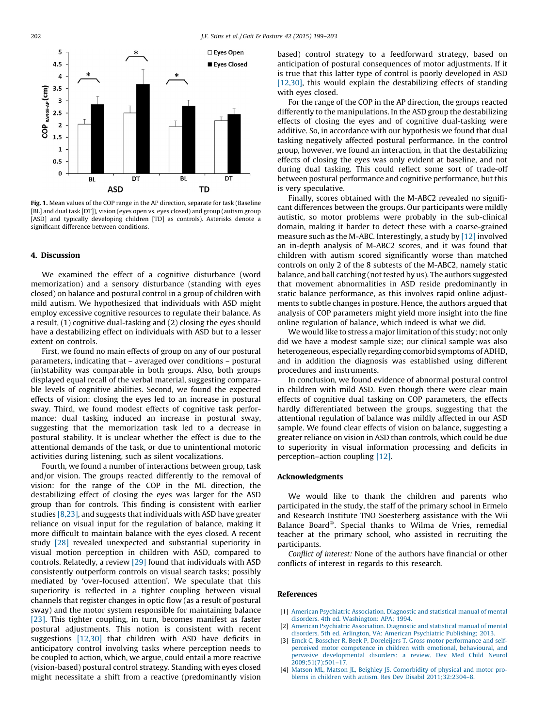<span id="page-3-0"></span>

Fig. 1. Mean values of the COP range in the AP direction, separate for task (Baseline [BL] and dual task [DT]), vision (eyes open vs. eyes closed) and group (autism group [ASD] and typically developing children [TD] as controls). Asterisks denote a significant difference between conditions.

## 4. Discussion

We examined the effect of a cognitive disturbance (word memorization) and a sensory disturbance (standing with eyes closed) on balance and postural control in a group of children with mild autism. We hypothesized that individuals with ASD might employ excessive cognitive resources to regulate their balance. As a result, (1) cognitive dual-tasking and (2) closing the eyes should have a destabilizing effect on individuals with ASD but to a lesser extent on controls.

First, we found no main effects of group on any of our postural parameters, indicating that – averaged over conditions – postural (in)stability was comparable in both groups. Also, both groups displayed equal recall of the verbal material, suggesting comparable levels of cognitive abilities. Second, we found the expected effects of vision: closing the eyes led to an increase in postural sway. Third, we found modest effects of cognitive task performance: dual tasking induced an increase in postural sway, suggesting that the memorization task led to a decrease in postural stability. It is unclear whether the effect is due to the attentional demands of the task, or due to unintentional motoric activities during listening, such as silent vocalizations.

Fourth, we found a number of interactions between group, task and/or vision. The groups reacted differently to the removal of vision: for the range of the COP in the ML direction, the destabilizing effect of closing the eyes was larger for the ASD group than for controls. This finding is consistent with earlier studies [\[8,23\]](#page-4-0), and suggests that individuals with ASD have greater reliance on visual input for the regulation of balance, making it more difficult to maintain balance with the eyes closed. A recent study [\[28\]](#page-4-0) revealed unexpected and substantial superiority in visual motion perception in children with ASD, compared to controls. Relatedly, a review [\[29\]](#page-4-0) found that individuals with ASD consistently outperform controls on visual search tasks; possibly mediated by 'over-focused attention'. We speculate that this superiority is reflected in a tighter coupling between visual channels that register changes in optic flow (as a result of postural sway) and the motor system responsible for maintaining balance [\[23\]](#page-4-0). This tighter coupling, in turn, becomes manifest as faster postural adjustments. This notion is consistent with recent suggestions [\[12,30\]](#page-4-0) that children with ASD have deficits in anticipatory control involving tasks where perception needs to be coupled to action, which, we argue, could entail a more reactive (vision-based) postural control strategy. Standing with eyes closed might necessitate a shift from a reactive (predominantly vision

based) control strategy to a feedforward strategy, based on anticipation of postural consequences of motor adjustments. If it is true that this latter type of control is poorly developed in ASD [\[12,30\],](#page-4-0) this would explain the destabilizing effects of standing with eyes closed.

For the range of the COP in the AP direction, the groups reacted differently to the manipulations. In the ASD group the destabilizing effects of closing the eyes and of cognitive dual-tasking were additive. So, in accordance with our hypothesis we found that dual tasking negatively affected postural performance. In the control group, however, we found an interaction, in that the destabilizing effects of closing the eyes was only evident at baseline, and not during dual tasking. This could reflect some sort of trade-off between postural performance and cognitive performance, but this is very speculative.

Finally, scores obtained with the M-ABC2 revealed no significant differences between the groups. Our participants were mildly autistic, so motor problems were probably in the sub-clinical domain, making it harder to detect these with a coarse-grained measure such as the M-ABC. Interestingly, a study by [\[12\]](#page-4-0) involved an in-depth analysis of M-ABC2 scores, and it was found that children with autism scored significantly worse than matched controls on only 2 of the 8 subtests of the M-ABC2, namely static balance, and ball catching (not tested by us). The authors suggested that movement abnormalities in ASD reside predominantly in static balance performance, as this involves rapid online adjustments to subtle changes in posture. Hence, the authors argued that analysis of COP parameters might yield more insight into the fine online regulation of balance, which indeed is what we did.

We would like to stress a major limitation of this study; not only did we have a modest sample size; our clinical sample was also heterogeneous, especially regarding comorbid symptoms of ADHD, and in addition the diagnosis was established using different procedures and instruments.

In conclusion, we found evidence of abnormal postural control in children with mild ASD. Even though there were clear main effects of cognitive dual tasking on COP parameters, the effects hardly differentiated between the groups, suggesting that the attentional regulation of balance was mildly affected in our ASD sample. We found clear effects of vision on balance, suggesting a greater reliance on vision in ASD than controls, which could be due to superiority in visual information processing and deficits in perception–action coupling [\[12\]](#page-4-0).

#### Acknowledgments

We would like to thank the children and parents who participated in the study, the staff of the primary school in Ermelo and Research Institute TNO Soesterberg assistance with the Wii Balance Board<sup>®</sup>. Special thanks to Wilma de Vries, remedial teacher at the primary school, who assisted in recruiting the participants.

Conflict of interest: None of the authors have financial or other conflicts of interest in regards to this research.

## References

- [1] American Psychiatric [Association.](http://refhub.elsevier.com/S0966-6362(15)00470-1/sbref0155) Diagnostic and statistical manual of mental disorders. 4th ed. [Washington:](http://refhub.elsevier.com/S0966-6362(15)00470-1/sbref0155) APA; 1994.
- [2] American Psychiatric [Association.](http://refhub.elsevier.com/S0966-6362(15)00470-1/sbref0160) Diagnostic and statistical manual of mental disorders. 5th ed. Arlington, VA: American Psychiatric [Publishing;](http://refhub.elsevier.com/S0966-6362(15)00470-1/sbref0160) 2013.
- [3] Emck C, Bosscher R, Beek P, Doreleijers T. Gross motor [performance](http://refhub.elsevier.com/S0966-6362(15)00470-1/sbref0165) and selfperceived motor competence in children with emotional, [behavioural,](http://refhub.elsevier.com/S0966-6362(15)00470-1/sbref0165) and pervasive [developmental](http://refhub.elsevier.com/S0966-6362(15)00470-1/sbref0165) disorders: a review. Dev Med Child Neurol [2009;51\(7\):501–17.](http://refhub.elsevier.com/S0966-6362(15)00470-1/sbref0165)
- [4] Matson ML, Matson JL, Beighley JS. [Comorbidity](http://refhub.elsevier.com/S0966-6362(15)00470-1/sbref0170) of physical and motor problems in children with autism. Res Dev Disabil [2011;32:2304–8](http://refhub.elsevier.com/S0966-6362(15)00470-1/sbref0170).